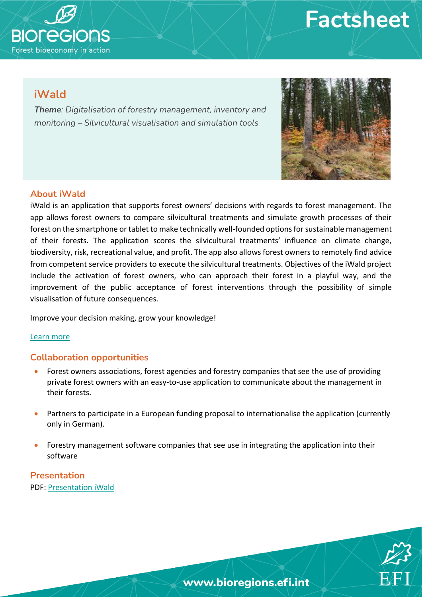



## **iWald**

*Theme: Digitalisation of forestry management, inventory and monitoring – Silvicultural visualisation and simulation tools*



#### **About iWald**

iWald is an application that supports forest owners' decisions with regards to forest management. The app allows forest owners to compare silvicultural treatments and simulate growth processes of their forest on the smartphone or tablet to make technically well-founded options for sustainable management of their forests. The application scores the silvicultural treatments' influence on climate change, biodiversity, risk, recreational value, and profit. The app also allows forest owners to remotely find advice from competent service providers to execute the silvicultural treatments. Objectives of the iWald project include the activation of forest owners, who can approach their forest in a playful way, and the improvement of the public acceptance of forest interventions through the possibility of simple visualisation of future consequences.

Improve your decision making, grow your knowledge!

#### [Learn more](https://kwf2020.kwf-online.de/portfolio/iwald/)

#### **Collaboration opportunities**

- Forest owners associations, forest agencies and forestry companies that see the use of providing private forest owners with an easy-to-use application to communicate about the management in their forests.
- Partners to participate in a European funding proposal to internationalise the application (currently only in German).
- Forestry management software companies that see use in integrating the application into their software

**Presentation** PDF: [Presentation iWald](https://bioregions.efi.int/wp-content/uploads/2021/11/Presentation_iWald_Bioregions_final.pdf)